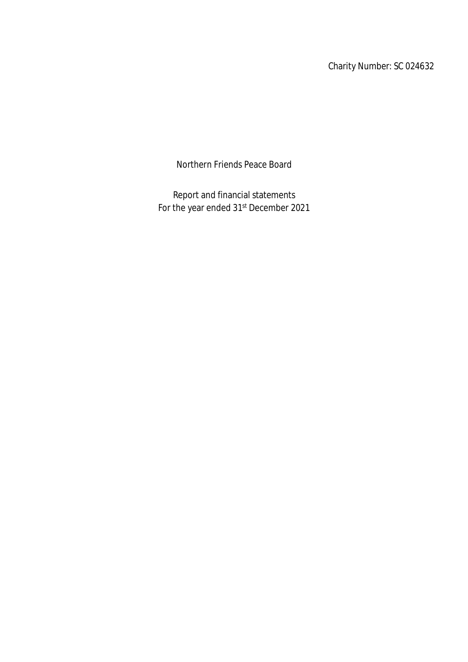Charity Number: SC 024632

Northern Friends Peace Board

Report and financial statements For the year ended 31<sup>st</sup> December 2021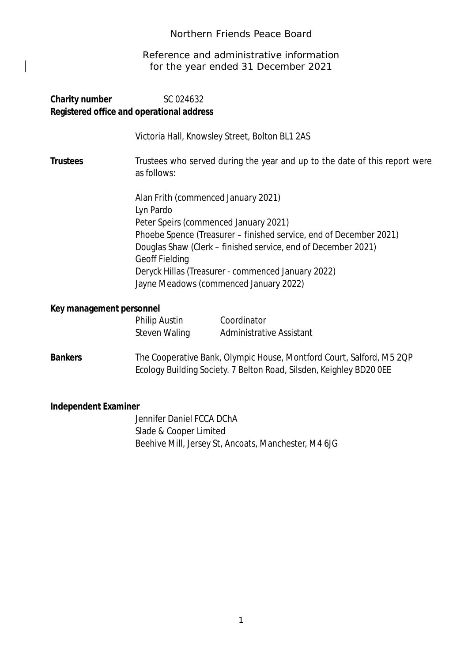Reference and administrative information for the year ended 31 December 2021

### **Charity number** SC 024632 **Registered office and operational address**

Victoria Hall, Knowsley Street, Bolton BL1 2AS

**Trustees** Trustees who served during the year and up to the date of this report were as follows:

> Alan Frith (commenced January 2021) Lyn Pardo Peter Speirs (commenced January 2021) Phoebe Spence (Treasurer – finished service, end of December 2021) Douglas Shaw (Clerk – finished service, end of December 2021) Geoff Fielding Deryck Hillas (Treasurer - commenced January 2022) Jayne Meadows (commenced January 2022)

#### **Key management personnel**

| <b>Philip Austin</b> | Coordinator                     |
|----------------------|---------------------------------|
| <b>Steven Waling</b> | <b>Administrative Assistant</b> |

**Bankers** The Cooperative Bank, Olympic House, Montford Court, Salford, M5 2QP Ecology Building Society. 7 Belton Road, Silsden, Keighley BD20 0EE

### **Independent Examiner**

Jennifer Daniel FCCA DChA Slade & Cooper Limited Beehive Mill, Jersey St, Ancoats, Manchester, M4 6JG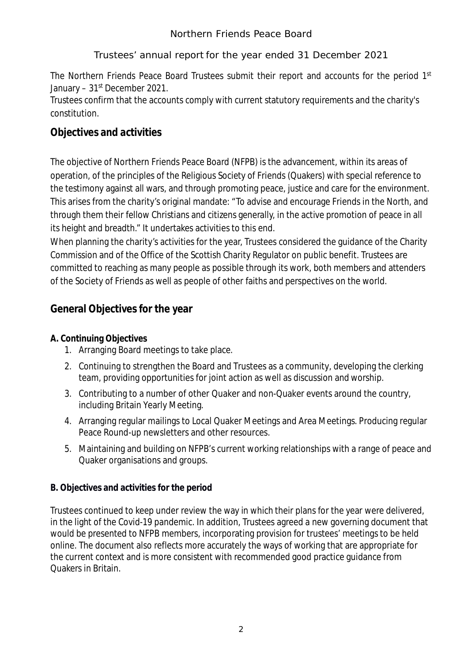# Trustees' annual report for the year ended 31 December 2021

The Northern Friends Peace Board Trustees submit their report and accounts for the period 1<sup>st</sup> January – 31<sup>st</sup> December 2021.

Trustees confirm that the accounts comply with current statutory requirements and the charity's constitution.

# **Objectives and activities**

The objective of Northern Friends Peace Board (NFPB) is the advancement, within its areas of operation, of the principles of the Religious Society of Friends (Quakers) with special reference to the testimony against all wars, and through promoting peace, justice and care for the environment. This arises from the charity's original mandate: "To advise and encourage Friends in the North, and through them their fellow Christians and citizens generally, in the active promotion of peace in all its height and breadth." It undertakes activities to this end.

When planning the charity's activities for the year, Trustees considered the guidance of the Charity Commission and of the Office of the Scottish Charity Regulator on public benefit. Trustees are committed to reaching as many people as possible through its work, both members and attenders of the Society of Friends as well as people of other faiths and perspectives on the world.

# **General Objectives for the year**

# **A. Continuing Objectives**

- 1. Arranging Board meetings to take place.
- 2. Continuing to strengthen the Board and Trustees as a community, developing the clerking team, providing opportunities for joint action as well as discussion and worship.
- 3. Contributing to a number of other Quaker and non-Quaker events around the country, including Britain Yearly Meeting.
- 4. Arranging regular mailings to Local Quaker Meetings and Area Meetings. Producing regular Peace Round-up newsletters and other resources.
- 5. Maintaining and building on NFPB's current working relationships with a range of peace and Quaker organisations and groups.

# **B. Objectives and activities for the period**

Trustees continued to keep under review the way in which their plans for the year were delivered, in the light of the Covid-19 pandemic. In addition, Trustees agreed a new governing document that would be presented to NFPB members, incorporating provision for trustees' meetings to be held online. The document also reflects more accurately the ways of working that are appropriate for the current context and is more consistent with recommended good practice guidance from Quakers in Britain.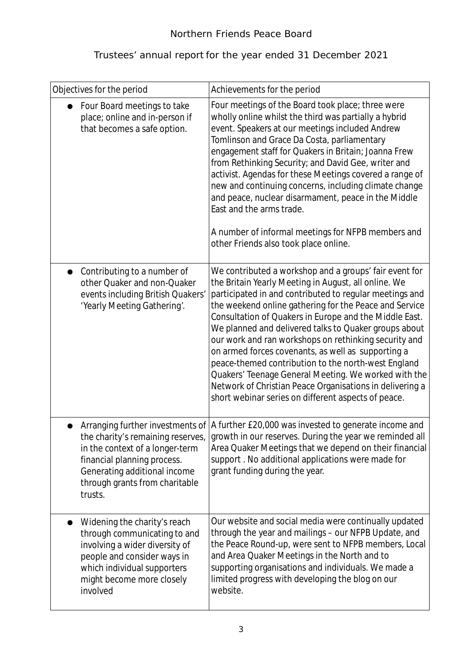| Objectives for the period                                                                                                                                                                             | Achievements for the period                                                                                                                                                                                                                                                                                                                                                                                                                                                                                                                                                                                                                                                                             |
|-------------------------------------------------------------------------------------------------------------------------------------------------------------------------------------------------------|---------------------------------------------------------------------------------------------------------------------------------------------------------------------------------------------------------------------------------------------------------------------------------------------------------------------------------------------------------------------------------------------------------------------------------------------------------------------------------------------------------------------------------------------------------------------------------------------------------------------------------------------------------------------------------------------------------|
| Four Board meetings to take<br>place; online and in-person if<br>that becomes a safe option.                                                                                                          | Four meetings of the Board took place; three were<br>wholly online whilst the third was partially a hybrid<br>event. Speakers at our meetings included Andrew<br>Tomlinson and Grace Da Costa, parliamentary<br>engagement staff for Quakers in Britain; Joanna Frew<br>from Rethinking Security; and David Gee, writer and<br>activist. Agendas for these Meetings covered a range of<br>new and continuing concerns, including climate change<br>and peace, nuclear disarmament, peace in the Middle<br>East and the arms trade.<br>A number of informal meetings for NFPB members and<br>other Friends also took place online.                                                                       |
| Contributing to a number of<br>other Quaker and non-Quaker<br>events including British Quakers'<br>'Yearly Meeting Gathering'.                                                                        | We contributed a workshop and a groups' fair event for<br>the Britain Yearly Meeting in August, all online. We<br>participated in and contributed to regular meetings and<br>the weekend online gathering for the Peace and Service<br>Consultation of Quakers in Europe and the Middle East.<br>We planned and delivered talks to Quaker groups about<br>our work and ran workshops on rethinking security and<br>on armed forces covenants, as well as supporting a<br>peace-themed contribution to the north-west England<br>Quakers' Teenage General Meeting. We worked with the<br>Network of Christian Peace Organisations in delivering a<br>short webinar series on different aspects of peace. |
| the charity's remaining reserves,<br>in the context of a longer-term<br>financial planning process.<br>Generating additional income<br>through grants from charitable<br>trusts.                      | Arranging further investments of   A further £20,000 was invested to generate income and<br>growth in our reserves. During the year we reminded all<br>Area Quaker Meetings that we depend on their financial<br>support. No additional applications were made for<br>grant funding during the year.                                                                                                                                                                                                                                                                                                                                                                                                    |
| Widening the charity's reach<br>through communicating to and<br>involving a wider diversity of<br>people and consider ways in<br>which individual supporters<br>might become more closely<br>involved | Our website and social media were continually updated<br>through the year and mailings - our NFPB Update, and<br>the Peace Round-up, were sent to NFPB members, Local<br>and Area Quaker Meetings in the North and to<br>supporting organisations and individuals. We made a<br>limited progress with developing the blog on our<br>website.                                                                                                                                                                                                                                                                                                                                                            |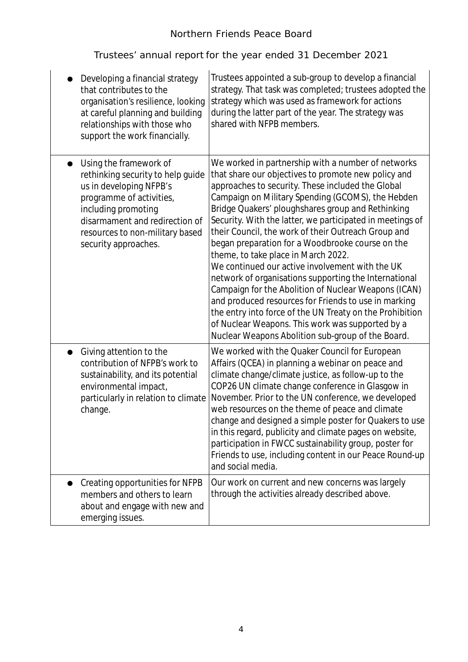| Developing a financial strategy<br>that contributes to the<br>organisation's resilience, looking<br>at careful planning and building<br>relationships with those who<br>support the work financially.                                  | Trustees appointed a sub-group to develop a financial<br>strategy. That task was completed; trustees adopted the<br>strategy which was used as framework for actions<br>during the latter part of the year. The strategy was<br>shared with NFPB members.                                                                                                                                                                                                                                                                                                                                                                                                                                                                                                                                                                                                                                |
|----------------------------------------------------------------------------------------------------------------------------------------------------------------------------------------------------------------------------------------|------------------------------------------------------------------------------------------------------------------------------------------------------------------------------------------------------------------------------------------------------------------------------------------------------------------------------------------------------------------------------------------------------------------------------------------------------------------------------------------------------------------------------------------------------------------------------------------------------------------------------------------------------------------------------------------------------------------------------------------------------------------------------------------------------------------------------------------------------------------------------------------|
| Using the framework of<br>rethinking security to help quide<br>us in developing NFPB's<br>programme of activities,<br>including promoting<br>disarmament and redirection of<br>resources to non-military based<br>security approaches. | We worked in partnership with a number of networks<br>that share our objectives to promote new policy and<br>approaches to security. These included the Global<br>Campaign on Military Spending (GCOMS), the Hebden<br>Bridge Quakers' ploughshares group and Rethinking<br>Security. With the latter, we participated in meetings of<br>their Council, the work of their Outreach Group and<br>began preparation for a Woodbrooke course on the<br>theme, to take place in March 2022.<br>We continued our active involvement with the UK<br>network of organisations supporting the International<br>Campaign for the Abolition of Nuclear Weapons (ICAN)<br>and produced resources for Friends to use in marking<br>the entry into force of the UN Treaty on the Prohibition<br>of Nuclear Weapons. This work was supported by a<br>Nuclear Weapons Abolition sub-group of the Board. |
| Giving attention to the<br>$\bullet$<br>contribution of NFPB's work to<br>sustainability, and its potential<br>environmental impact,<br>particularly in relation to climate<br>change.                                                 | We worked with the Quaker Council for European<br>Affairs (QCEA) in planning a webinar on peace and<br>climate change/climate justice, as follow-up to the<br>COP26 UN climate change conference in Glasgow in<br>November. Prior to the UN conference, we developed<br>web resources on the theme of peace and climate<br>change and designed a simple poster for Quakers to use<br>in this regard, publicity and climate pages on website,<br>participation in FWCC sustainability group, poster for<br>Friends to use, including content in our Peace Round-up<br>and social media.                                                                                                                                                                                                                                                                                                   |
| Creating opportunities for NFPB<br>members and others to learn<br>about and engage with new and<br>emerging issues.                                                                                                                    | Our work on current and new concerns was largely<br>through the activities already described above.                                                                                                                                                                                                                                                                                                                                                                                                                                                                                                                                                                                                                                                                                                                                                                                      |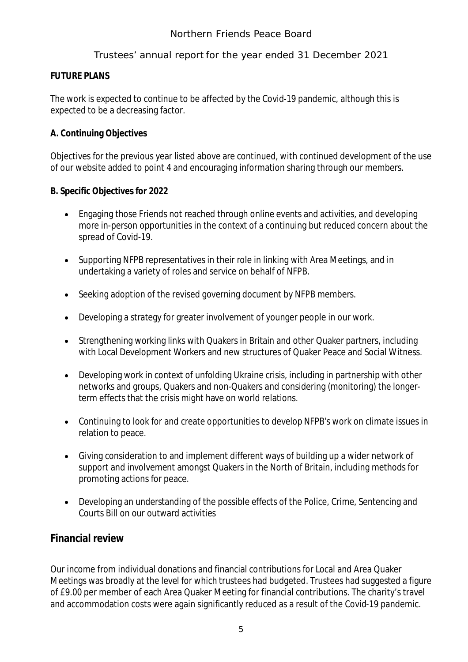### **FUTURE PLANS**

The work is expected to continue to be affected by the Covid-19 pandemic, although this is expected to be a decreasing factor.

### **A. Continuing Objectives**

Objectives for the previous year listed above are continued, with continued development of the use of our website added to point 4 and encouraging information sharing through our members.

### **B. Specific Objectives for 2022**

- Engaging those Friends not reached through online events and activities, and developing more in-person opportunities in the context of a continuing but reduced concern about the spread of Covid-19.
- Supporting NFPB representatives in their role in linking with Area Meetings, and in undertaking a variety of roles and service on behalf of NFPB.
- Seeking adoption of the revised governing document by NFPB members.
- Developing a strategy for greater involvement of younger people in our work.
- Strengthening working links with Quakers in Britain and other Quaker partners, including with Local Development Workers and new structures of Quaker Peace and Social Witness.
- Developing work in context of unfolding Ukraine crisis, including in partnership with other networks and groups, Quakers and non-Quakers and considering (monitoring) the longerterm effects that the crisis might have on world relations.
- Continuing to look for and create opportunities to develop NFPB's work on climate issues in relation to peace.
- Giving consideration to and implement different ways of building up a wider network of support and involvement amongst Quakers in the North of Britain, including methods for promoting actions for peace.
- Developing an understanding of the possible effects of the Police, Crime, Sentencing and Courts Bill on our outward activities

# **Financial review**

Our income from individual donations and financial contributions for Local and Area Quaker Meetings was broadly at the level for which trustees had budgeted. Trustees had suggested a figure of £9.00 per member of each Area Quaker Meeting for financial contributions. The charity's travel and accommodation costs were again significantly reduced as a result of the Covid-19 pandemic.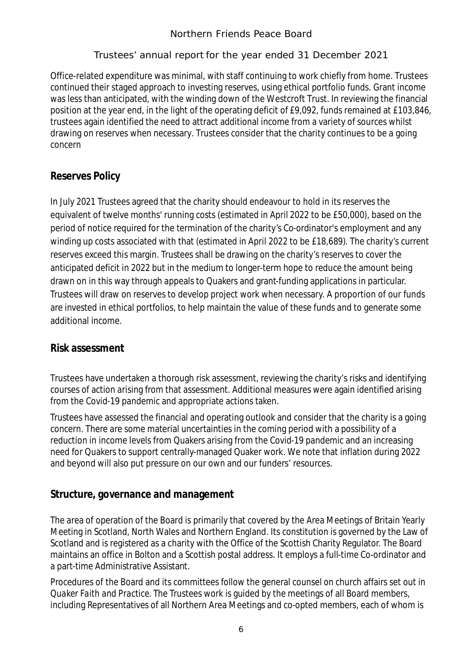Office-related expenditure was minimal, with staff continuing to work chiefly from home. Trustees continued their staged approach to investing reserves, using ethical portfolio funds. Grant income was less than anticipated, with the winding down of the Westcroft Trust. In reviewing the financial position at the year end, in the light of the operating deficit of £9,092, funds remained at £103,846, trustees again identified the need to attract additional income from a variety of sources whilst drawing on reserves when necessary. Trustees consider that the charity continues to be a going concern

# **Reserves Policy**

In July 2021 Trustees agreed that the charity should endeavour to hold in its reserves the equivalent of twelve months' running costs (estimated in April 2022 to be £50,000), based on the period of notice required for the termination of the charity's Co-ordinator's employment and any winding up costs associated with that (estimated in April 2022 to be £18,689). The charity's current reserves exceed this margin. Trustees shall be drawing on the charity's reserves to cover the anticipated deficit in 2022 but in the medium to longer-term hope to reduce the amount being drawn on in this way through appeals to Quakers and grant-funding applications in particular. Trustees will draw on reserves to develop project work when necessary. A proportion of our funds are invested in ethical portfolios, to help maintain the value of these funds and to generate some additional income.

# **Risk assessment**

Trustees have undertaken a thorough risk assessment, reviewing the charity's risks and identifying courses of action arising from that assessment. Additional measures were again identified arising from the Covid-19 pandemic and appropriate actions taken.

Trustees have assessed the financial and operating outlook and consider that the charity is a going concern. There are some material uncertainties in the coming period with a possibility of a reduction in income levels from Quakers arising from the Covid-19 pandemic and an increasing need for Quakers to support centrally-managed Quaker work. We note that inflation during 2022 and beyond will also put pressure on our own and our funders' resources.

# **Structure, governance and management**

The area of operation of the Board is primarily that covered by the Area Meetings of Britain Yearly Meeting in Scotland, North Wales and Northern England. Its constitution is governed by the Law of Scotland and is registered as a charity with the Office of the Scottish Charity Regulator. The Board maintains an office in Bolton and a Scottish postal address. It employs a full-time Co-ordinator and a part-time Administrative Assistant.

Procedures of the Board and its committees follow the general counsel on church affairs set out in *Quaker Faith and Practice.* The Trustees work is guided by the meetings of all Board members, including Representatives of all Northern Area Meetings and co-opted members, each of whom is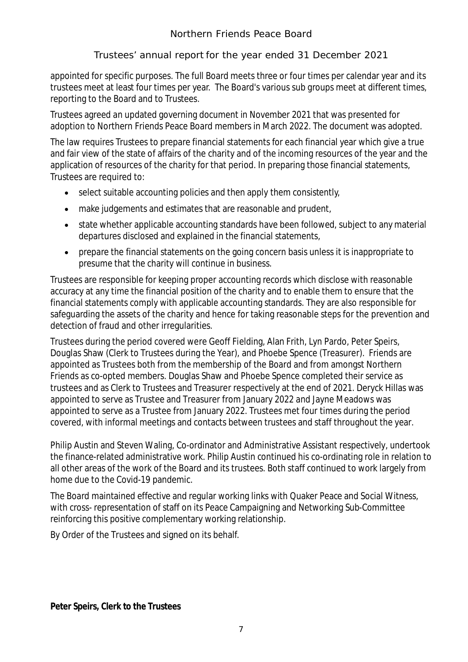appointed for specific purposes. The full Board meets three or four times per calendar year and its trustees meet at least four times per year. The Board's various sub groups meet at different times, reporting to the Board and to Trustees.

Trustees agreed an updated governing document in November 2021 that was presented for adoption to Northern Friends Peace Board members in March 2022. The document was adopted.

The law requires Trustees to prepare financial statements for each financial year which give a true and fair view of the state of affairs of the charity and of the incoming resources of the year and the application of resources of the charity for that period. In preparing those financial statements, Trustees are required to:

- select suitable accounting policies and then apply them consistently,
- make judgements and estimates that are reasonable and prudent,
- state whether applicable accounting standards have been followed, subject to any material departures disclosed and explained in the financial statements,
- prepare the financial statements on the going concern basis unless it is inappropriate to presume that the charity will continue in business.

Trustees are responsible for keeping proper accounting records which disclose with reasonable accuracy at any time the financial position of the charity and to enable them to ensure that the financial statements comply with applicable accounting standards. They are also responsible for safeguarding the assets of the charity and hence for taking reasonable steps for the prevention and detection of fraud and other irregularities.

Trustees during the period covered were Geoff Fielding, Alan Frith, Lyn Pardo, Peter Speirs, Douglas Shaw (Clerk to Trustees during the Year), and Phoebe Spence (Treasurer). Friends are appointed as Trustees both from the membership of the Board and from amongst Northern Friends as co-opted members. Douglas Shaw and Phoebe Spence completed their service as trustees and as Clerk to Trustees and Treasurer respectively at the end of 2021. Deryck Hillas was appointed to serve as Trustee and Treasurer from January 2022 and Jayne Meadows was appointed to serve as a Trustee from January 2022. Trustees met four times during the period covered, with informal meetings and contacts between trustees and staff throughout the year.

Philip Austin and Steven Waling, Co-ordinator and Administrative Assistant respectively, undertook the finance-related administrative work. Philip Austin continued his co-ordinating role in relation to all other areas of the work of the Board and its trustees. Both staff continued to work largely from home due to the Covid-19 pandemic.

The Board maintained effective and regular working links with Quaker Peace and Social Witness, with cross- representation of staff on its Peace Campaigning and Networking Sub-Committee reinforcing this positive complementary working relationship.

By Order of the Trustees and signed on its behalf.

*Peter Speirs, Clerk to the Trustees*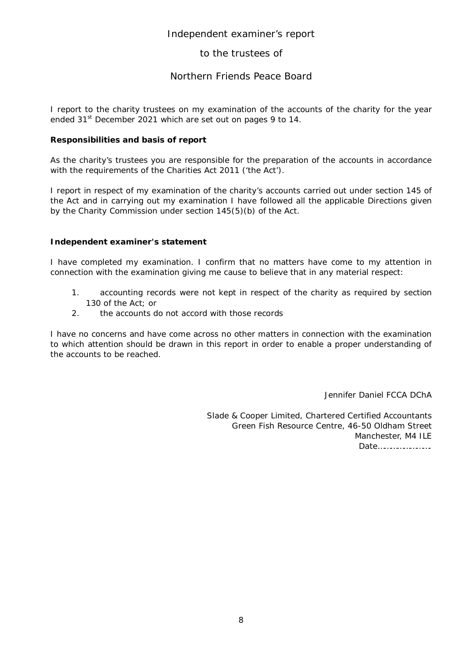#### Independent examiner's report

#### to the trustees of

#### Northern Friends Peace Board

I report to the charity trustees on my examination of the accounts of the charity for the year ended 31<sup>st</sup> December 2021 which are set out on pages 9 to 14.

#### **Responsibilities and basis of report**

As the charity's trustees you are responsible for the preparation of the accounts in accordance with the requirements of the Charities Act 2011 ('the Act').

I report in respect of my examination of the charity's accounts carried out under section 145 of the Act and in carrying out my examination I have followed all the applicable Directions given by the Charity Commission under section 145(5)(b) of the Act.

#### **Independent examiner's statement**

I have completed my examination. I confirm that no matters have come to my attention in connection with the examination giving me cause to believe that in any material respect:

- 1. accounting records were not kept in respect of the charity as required by section 130 of the Act; or
- 2. the accounts do not accord with those records

I have no concerns and have come across no other matters in connection with the examination to which attention should be drawn in this report in order to enable a proper understanding of the accounts to be reached.

Jennifer Daniel FCCA DChA

Slade & Cooper Limited, Chartered Certified Accountants Green Fish Resource Centre, 46-50 Oldham Street Manchester, M4 ILE Date…………………….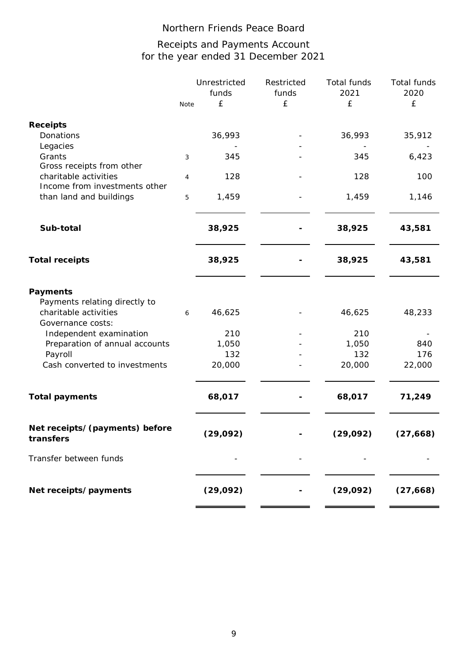# for the year ended 31 December 2021 Receipts and Payments Account

|                                                                                                                    |      | Unrestricted<br>funds | Restricted<br>funds | Total funds<br>2021 | Total funds<br>2020 |
|--------------------------------------------------------------------------------------------------------------------|------|-----------------------|---------------------|---------------------|---------------------|
|                                                                                                                    | Note | £                     | £                   | £                   | $\pounds$           |
| <b>Receipts</b>                                                                                                    |      |                       |                     |                     |                     |
| Donations                                                                                                          |      | 36,993                |                     | 36,993              | 35,912              |
| Legacies<br>Grants                                                                                                 |      | 345                   |                     | 345                 | 6,423               |
| Gross receipts from other                                                                                          | 3    |                       |                     |                     |                     |
| charitable activities                                                                                              | 4    | 128                   |                     | 128                 | 100                 |
| Income from investments other                                                                                      |      |                       |                     |                     |                     |
| than land and buildings                                                                                            | 5    | 1,459                 |                     | 1,459               | 1,146               |
| Sub-total                                                                                                          |      | 38,925                |                     | 38,925              | 43,581              |
| <b>Total receipts</b>                                                                                              |      | 38,925                |                     | 38,925              | 43,581              |
| Payments<br>Payments relating directly to<br>charitable activities<br>Governance costs:<br>Independent examination | 6    | 46,625<br>210         |                     | 46,625<br>210       | 48,233              |
| Preparation of annual accounts                                                                                     |      | 1,050                 |                     | 1,050               | 840                 |
| Payroll                                                                                                            |      | 132                   |                     | 132                 | 176                 |
| Cash converted to investments                                                                                      |      | 20,000                |                     | 20,000              | 22,000              |
| <b>Total payments</b>                                                                                              |      | 68,017                |                     | 68,017              | 71,249              |
| Net receipts/(payments) before<br>transfers                                                                        |      | (29, 092)             |                     | (29, 092)           | (27, 668)           |
| Transfer between funds                                                                                             |      |                       |                     |                     |                     |
| Net receipts/payments                                                                                              |      | (29, 092)             |                     | (29, 092)           | (27, 668)           |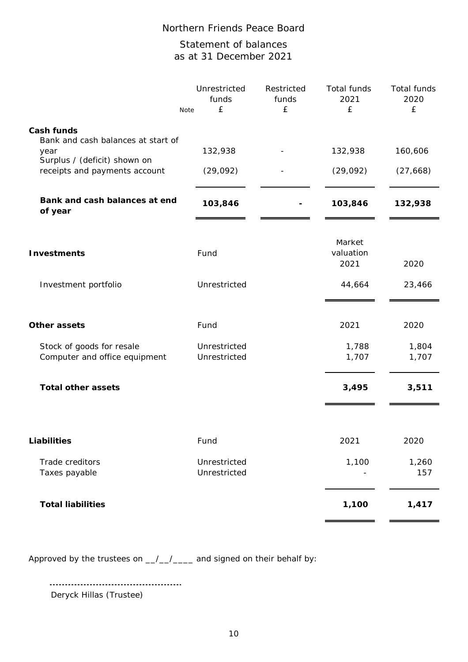# Statement of balances as at 31 December 2021

|                                                  | Unrestricted<br>funds<br>£<br>Note | Restricted<br>funds<br>£ | Total funds<br>2021<br>£    | Total funds<br>2020<br>£ |
|--------------------------------------------------|------------------------------------|--------------------------|-----------------------------|--------------------------|
| Cash funds<br>Bank and cash balances at start of |                                    |                          |                             |                          |
| year<br>Surplus / (deficit) shown on             | 132,938                            |                          | 132,938                     | 160,606                  |
| receipts and payments account                    | (29, 092)                          |                          | (29,092)                    | (27, 668)                |
| Bank and cash balances at end<br>of year         | 103,846                            |                          | 103,846                     | 132,938                  |
| <b>Investments</b>                               | Fund                               |                          | Market<br>valuation<br>2021 | 2020                     |
| Investment portfolio                             | Unrestricted                       |                          | 44,664                      | 23,466                   |
| Other assets                                     | Fund                               |                          | 2021                        | 2020                     |
| Stock of goods for resale                        | Unrestricted                       |                          | 1,788                       | 1,804                    |
| Computer and office equipment                    | Unrestricted                       |                          | 1,707                       | 1,707                    |
| <b>Total other assets</b>                        |                                    |                          | 3,495                       | 3,511                    |
|                                                  |                                    |                          |                             |                          |
| <b>Liabilities</b>                               | Fund                               |                          | 2021                        | 2020                     |
| Trade creditors<br>Taxes payable                 | Unrestricted<br>Unrestricted       |                          | 1,100                       | 1,260<br>157             |
| <b>Total liabilities</b>                         |                                    |                          | 1,100                       | 1,417                    |

Approved by the trustees on  $_{\_}/\_/$  and signed on their behalf by:

Deryck Hillas (Trustee)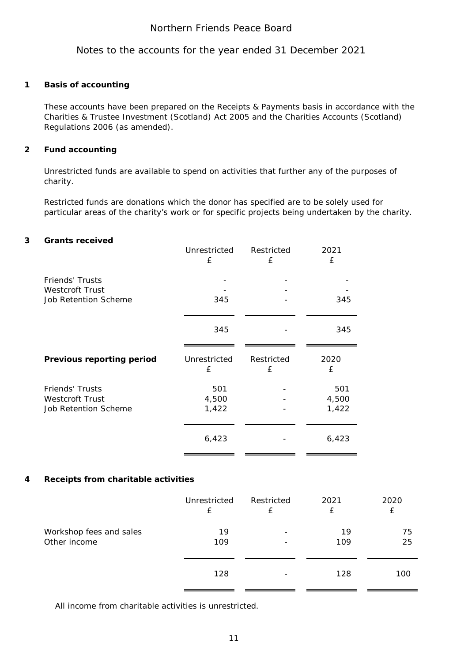Notes to the accounts for the year ended 31 December 2021

#### **1 Basis of accounting**

These accounts have been prepared on the Receipts & Payments basis in accordance with the Charities & Trustee Investment (Scotland) Act 2005 and the Charities Accounts (Scotland) Regulations 2006 (as amended).

#### **2 Fund accounting**

Unrestricted funds are available to spend on activities that further any of the purposes of charity.

Restricted funds are donations which the donor has specified are to be solely used for particular areas of the charity's work or for specific projects being undertaken by the charity.

#### **3 Grants received**

|                                                                                 | Unrestricted | Restricted    | 2021  |
|---------------------------------------------------------------------------------|--------------|---------------|-------|
|                                                                                 | £            | £             | £     |
| <b>Friends' Trusts</b><br><b>Westcroft Trust</b><br><b>Job Retention Scheme</b> | 345          |               | 345   |
|                                                                                 | 345          |               | 345   |
| <b>Previous reporting period</b>                                                | Unrestricted | Restricted    | 2020  |
|                                                                                 | £            | $\mathcal{F}$ | £     |
| <b>Friends' Trusts</b>                                                          | 501          |               | 501   |
| Westcroft Trust                                                                 | 4,500        |               | 4,500 |
| <b>Job Retention Scheme</b>                                                     | 1,422        |               | 1,422 |
|                                                                                 |              |               |       |

### **4 Receipts from charitable activities**

|                         | Unrestricted | Restricted               | 2021 | 2020       |
|-------------------------|--------------|--------------------------|------|------------|
|                         | £            | f                        | f    | £          |
| Workshop fees and sales | 19           | $\overline{\phantom{a}}$ | 19   | 75         |
| Other income            | 109          | $\overline{\phantom{a}}$ | 109  | 25         |
|                         | 128          | $\overline{\phantom{a}}$ | 128  | <i>100</i> |

All income from charitable activities is unrestricted.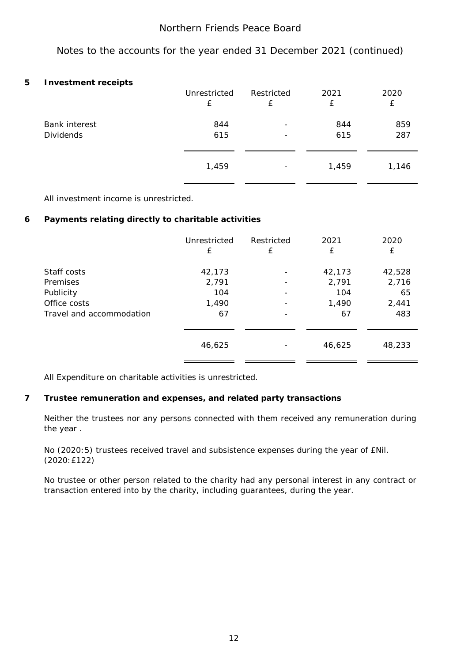Notes to the accounts for the year ended 31 December 2021 (continued)

#### **5 Investment receipts**

| . .                  | Unrestricted | Restricted               | 2021  | 2020  |
|----------------------|--------------|--------------------------|-------|-------|
|                      | £            | £                        | £     | £     |
| <b>Bank interest</b> | 844          | $\overline{\phantom{0}}$ | 844   | 859   |
| <b>Dividends</b>     | 615          |                          | 615   | 287   |
|                      | 1,459        | $\overline{\phantom{a}}$ | 1,459 | 1,146 |
|                      |              |                          |       |       |

All investment income is unrestricted.

#### **6 Payments relating directly to charitable activities**

|                          | Unrestricted | Restricted               | 2021   | 2020   |
|--------------------------|--------------|--------------------------|--------|--------|
|                          | £            | £                        | £      | £      |
| Staff costs              | 42,173       |                          | 42,173 | 42,528 |
| Premises                 | 2,791        | $\overline{\phantom{a}}$ | 2,791  | 2,716  |
| Publicity                | 104          |                          | 104    | 65     |
| Office costs             | 1,490        |                          | 1,490  | 2,441  |
| Travel and accommodation | 67           | $\overline{\phantom{a}}$ | 67     | 483    |
|                          | 46,625       |                          | 46,625 | 48,233 |

All Expenditure on charitable activities is unrestricted.

### **7 Trustee remuneration and expenses, and related party transactions**

Neither the trustees nor any persons connected with them received any remuneration during the year .

No (2020:5) trustees received travel and subsistence expenses during the year of £Nil. (2020:£122)

No trustee or other person related to the charity had any personal interest in any contract or transaction entered into by the charity, including guarantees, during the year.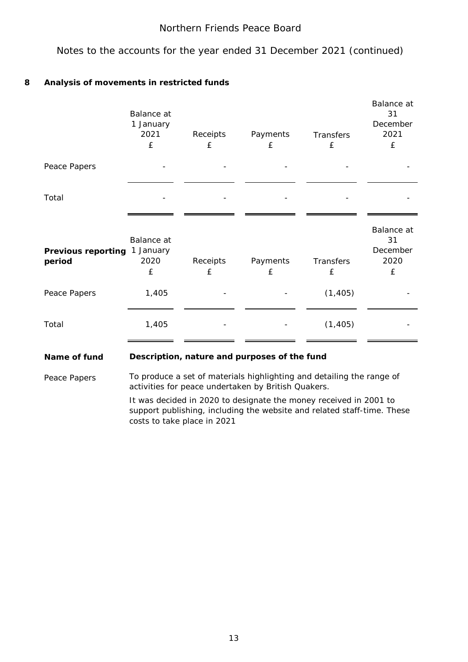Notes to the accounts for the year ended 31 December 2021 (continued)

### **8 Analysis of movements in restricted funds**

|                                     | Balance at<br>1 January<br>2021<br>£ | Receipts<br>£ | Payments<br>£ | Transfers<br>£ | Balance at<br>31<br>December<br>2021<br>£ |
|-------------------------------------|--------------------------------------|---------------|---------------|----------------|-------------------------------------------|
| Peace Papers                        |                                      |               |               |                |                                           |
| Total                               |                                      |               |               |                |                                           |
| <b>Previous reporting</b><br>period | Balance at<br>1 January<br>2020<br>£ | Receipts<br>£ | Payments<br>£ | Transfers<br>£ | Balance at<br>31<br>December<br>2020<br>£ |
| Peace Papers                        | 1,405                                |               |               | (1, 405)       |                                           |
| Total                               | 1,405                                |               |               | (1, 405)       |                                           |

#### **Description, nature and purposes of the fund Name of fund**

Peace Papers

To produce a set of materials highlighting and detailing the range of activities for peace undertaken by British Quakers.

It was decided in 2020 to designate the money received in 2001 to support publishing, including the website and related staff-time. These costs to take place in 2021